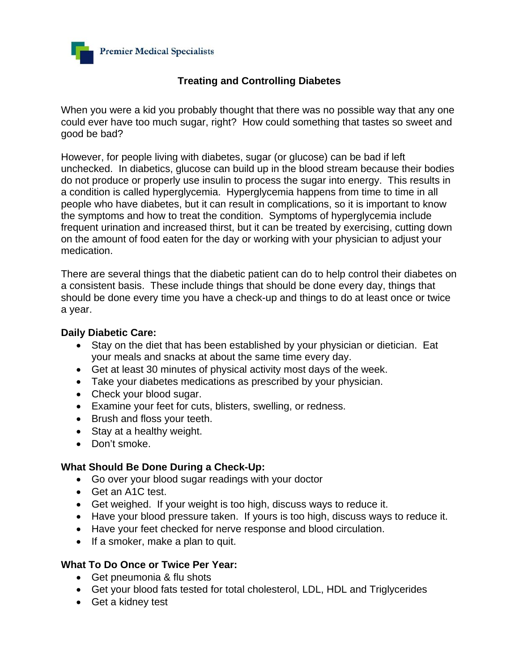

## **Treating and Controlling Diabetes**

When you were a kid you probably thought that there was no possible way that any one could ever have too much sugar, right? How could something that tastes so sweet and good be bad?

However, for people living with diabetes, sugar (or glucose) can be bad if left unchecked. In diabetics, glucose can build up in the blood stream because their bodies do not produce or properly use insulin to process the sugar into energy. This results in a condition is called hyperglycemia. Hyperglycemia happens from time to time in all people who have diabetes, but it can result in complications, so it is important to know the symptoms and how to treat the condition. Symptoms of hyperglycemia include frequent urination and increased thirst, but it can be treated by exercising, cutting down on the amount of food eaten for the day or working with your physician to adjust your medication.

There are several things that the diabetic patient can do to help control their diabetes on a consistent basis. These include things that should be done every day, things that should be done every time you have a check-up and things to do at least once or twice a year.

## **Daily Diabetic Care:**

- Stay on the diet that has been established by your physician or dietician. Eat your meals and snacks at about the same time every day.
- Get at least 30 minutes of physical activity most days of the week.
- Take your diabetes medications as prescribed by your physician.
- Check your blood sugar.
- Examine your feet for cuts, blisters, swelling, or redness.
- Brush and floss your teeth.
- Stay at a healthy weight.
- Don't smoke.

## **What Should Be Done During a Check-Up:**

- Go over your blood sugar readings with your doctor
- Get an A1C test.
- Get weighed. If your weight is too high, discuss ways to reduce it.
- Have your blood pressure taken. If yours is too high, discuss ways to reduce it.
- Have your feet checked for nerve response and blood circulation.
- If a smoker, make a plan to quit.

## **What To Do Once or Twice Per Year:**

- Get pneumonia & flu shots
- Get your blood fats tested for total cholesterol, LDL, HDL and Triglycerides
- Get a kidney test